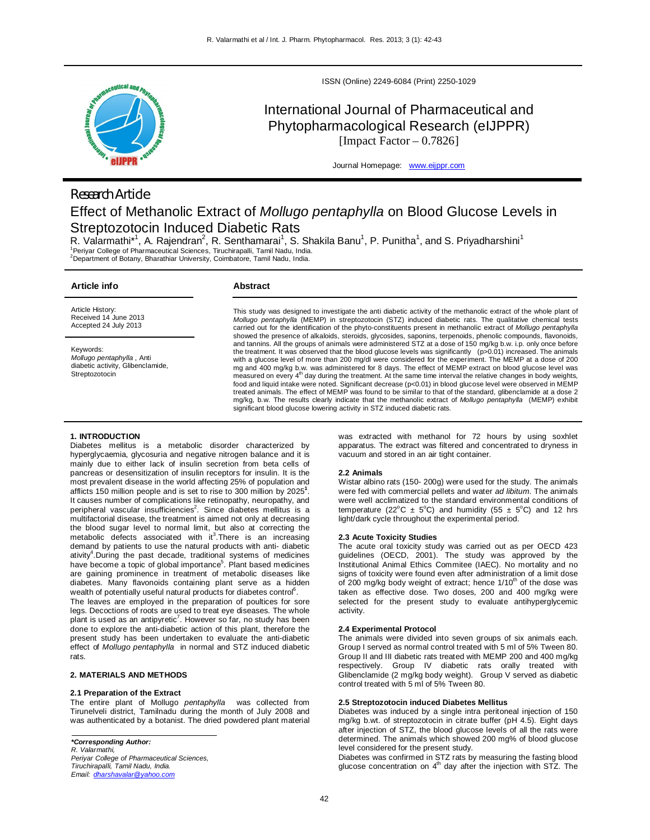

ISSN (Online) 2249-6084 (Print) 2250-1029

# International Journal of Pharmaceutical and Phytopharmacological Research (eIJPPR) [Impact Factor  $-0.7826$ ]

Journal Homepage: www.eijppr.com

# *Research Article* Effect of Methanolic Extract of *Mollugo pentaphylla* on Blood Glucose Levels in Streptozotocin Induced Diabetic Rats

R. Valarmathi\*<sup>1</sup>, A. Rajendran<sup>2</sup>, R. Senthamarai<sup>1</sup>, S. Shakila Banu<sup>1</sup>, P. Punitha<sup>1</sup>, and S. Priyadharshini<sup>1</sup><br>1Periyar College of Pharmaceutical Sciences, Tiruchirapalli, Tamil Nadu, India. <sup>2</sup>Department of Botany, Bharathiar University, Coimbatore, Tamil Nadu, India.

| Article info                                                                                  | Abstract                                                                                                                                                                                                                                                                                                                                                                                                                                                                                                                                                                                                                                                                                                                                                                                                                                                                                                                                     |  |  |  |  |
|-----------------------------------------------------------------------------------------------|----------------------------------------------------------------------------------------------------------------------------------------------------------------------------------------------------------------------------------------------------------------------------------------------------------------------------------------------------------------------------------------------------------------------------------------------------------------------------------------------------------------------------------------------------------------------------------------------------------------------------------------------------------------------------------------------------------------------------------------------------------------------------------------------------------------------------------------------------------------------------------------------------------------------------------------------|--|--|--|--|
| Article History:<br>Received 14 June 2013<br>Accepted 24 July 2013                            | This study was designed to investigate the anti diabetic activity of the methanolic extract of the whole plant of<br>Mollugo pentaphylla (MEMP) in streptozotocin (STZ) induced diabetic rats. The qualitative chemical tests<br>carried out for the identification of the phyto-constituents present in methanolic extract of <i>Mollugo pentaphylla</i>                                                                                                                                                                                                                                                                                                                                                                                                                                                                                                                                                                                    |  |  |  |  |
| Keywords:<br>Mollugo pentaphylla, Anti<br>diabetic activity, Glibenclamide,<br>Streptozotocin | showed the presence of alkaloids, steroids, glycosides, saponins, terpenoids, phenolic compounds, flavonoids,<br>and tannins. All the groups of animals were administered STZ at a dose of 150 mg/kg b.w. i.p. only once before<br>the treatment. It was observed that the blood glucose levels was significantly (p>0.01) increased. The animals<br>with a glucose level of more than 200 mg/dl were considered for the experiment. The MEMP at a dose of 200<br>mg and 400 mg/kg b.w. was administered for 8 days. The effect of MEMP extract on blood glucose level was<br>measured on every 4 <sup>th</sup> day during the treatment. At the same time interval the relative changes in body weights,<br>food and liquid intake were noted. Significant decrease (p<0.01) in blood glucose level were observed in MEMP<br>treated animals. The effect of MEMP was found to be similar to that of the standard, glibenclamide at a dose 2 |  |  |  |  |

significant blood glucose lowering activity in STZ induced diabetic rats.

# **1. INTRODUCTION**

Diabetes mellitus is a metabolic disorder characterized by hyperglycaemia, glycosuria and negative nitrogen balance and it is mainly due to either lack of insulin secretion from beta cells of pancreas or desensitization of insulin receptors for insulin. It is the most prevalent disease in the world affecting 25% of population and afflicts 150 million people and is set to rise to 300 million by 2025**<sup>1</sup>** . It causes number of complications like retinopathy, neuropathy, and peripheral vascular insufficiencies<sup>2</sup>. Since diabetes mellitus is a multifactorial disease, the treatment is aimed not only at decreasing the blood sugar level to normal limit, but also at correcting the metabolic defects associated with it<sup>3</sup>. There is an increasing demand by patients to use the natural products with anti- diabetic ativity<sup>4</sup>. During the past decade, traditional systems of medicines have become a topic of global importance<sup>5</sup>. Plant based medicines are gaining prominence in treatment of metabolic diseases like diabetes. Many flavonoids containing plant serve as a hidden wealth of potentially useful natural products for diabetes control<sup>6</sup>.

The leaves are employed in the preparation of poultices for sore legs. Decoctions of roots are used to treat eye diseases. The whole plant is used as an antipyretic<sup>7</sup>. However so far, no study has been done to explore the anti-diabetic action of this plant, therefore the present study has been undertaken to evaluate the anti-diabetic effect of *Mollugo pentaphylla* in normal and STZ induced diabetic rats.

## **2. MATERIALS AND METHODS**

#### **2.1 Preparation of the Extract**

The entire plant of Mollugo *pentaphylla* was collected from Tirunelveli district, Tamilnadu during the month of July 2008 and was authenticated by a botanist. The dried powdered plant material

*Tiruchirapalli, Tamil Nadu, India. Email: dharshavalar@yahoo.com* was extracted with methanol for 72 hours by using soxhlet apparatus. The extract was filtered and concentrated to dryness in vacuum and stored in an air tight container.

#### **2.2 Animals**

Wistar albino rats (150- 200g) were used for the study. The animals were fed with commercial pellets and water *ad libitum*. The animals were well acclimatized to the standard environmental conditions of temperature (22<sup>o</sup>C  $\pm$  5<sup>o</sup>C) and humidity (55  $\pm$  5<sup>o</sup>C) and 12 hrs light/dark cycle throughout the experimental period.

#### **2.3 Acute Toxicity Studies**

mg/kg, b.w. The results clearly indicate that the methanolic extract of *Mollugo pentaphylla* (MEMP) exhibit

The acute oral toxicity study was carried out as per OECD 423 guidelines (OECD, 2001). The study was approved by the Institutional Animal Ethics Commitee (IAEC). No mortality and no signs of toxicity were found even after administration of a limit dose of 200 mg/kg body weight of extract; hence  $1/10^{th}$  of the dose was taken as effective dose. Two doses, 200 and 400 mg/kg were selected for the present study to evaluate antihyperglycemic activity.

#### **2.4 Experimental Protocol**

The animals were divided into seven groups of six animals each. Group I served as normal control treated with 5 ml of 5% Tween 80. Group II and III diabetic rats treated with MEMP 200 and 400 mg/kg respectively. Group IV diabetic rats orally treated with Glibenclamide (2 mg/kg body weight). Group V served as diabetic control treated with 5 ml of 5% Tween 80.

#### **2.5 Streptozotocin induced Diabetes Mellitus**

Diabetes was induced by a single intra peritoneal injection of 150 mg/kg b.wt. of streptozotocin in citrate buffer (pH 4.5). Eight days after injection of STZ, the blood glucose levels of all the rats were determined. The animals which showed 200 mg% of blood glucose level considered for the present study.

Diabetes was confirmed in STZ rats by measuring the fasting blood<br>glucose concentration on 4<sup>th</sup> day after the injection with STZ. The

*<sup>\*</sup>Corresponding Author: R. Valarmathi, Periyar College of Pharmaceutical Sciences,*